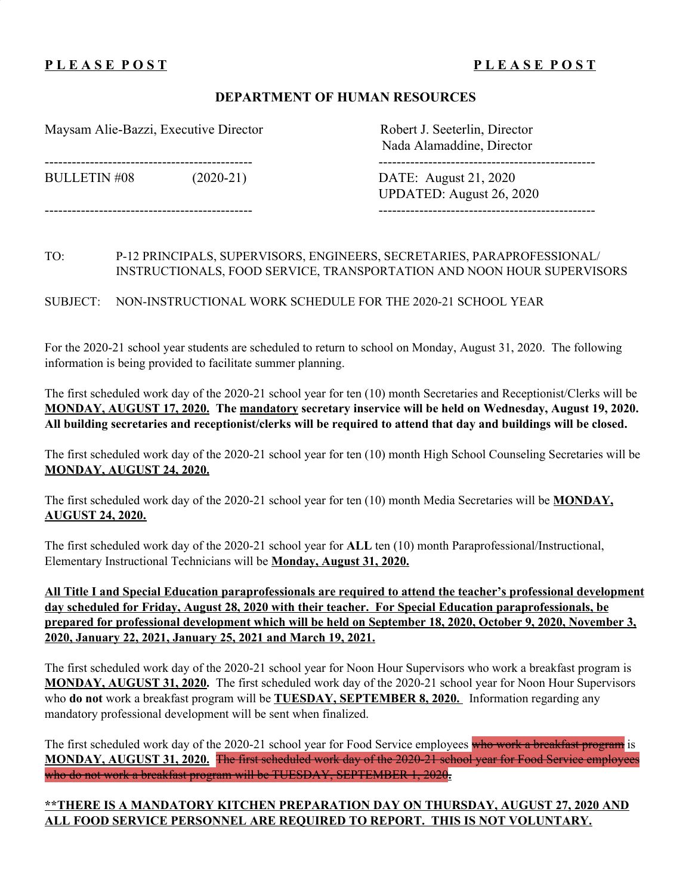# **P L E A S E P O S T P L E A S E P O S T**

### **DEPARTMENT OF HUMAN RESOURCES**

Maysam Alie-Bazzi, Executive Director Robert J. Seeterlin, Director

Nada Alamaddine, Director

---------------------------------------------- ------------------------------------------------

BULLETIN #08 (2020-21) DATE: August 21, 2020 UPDATED: August 26, 2020 ---------------------------------------------- ------------------------------------------------

TO: P-12 PRINCIPALS, SUPERVISORS, ENGINEERS, SECRETARIES, PARAPROFESSIONAL/ INSTRUCTIONALS, FOOD SERVICE, TRANSPORTATION AND NOON HOUR SUPERVISORS

SUBJECT: NON-INSTRUCTIONAL WORK SCHEDULE FOR THE 2020-21 SCHOOL YEAR

For the 2020-21 school year students are scheduled to return to school on Monday, August 31, 2020. The following information is being provided to facilitate summer planning.

The first scheduled work day of the 2020-21 school year for ten (10) month Secretaries and Receptionist/Clerks will be **MONDAY, AUGUST 17, 2020. The mandatory secretary inservice will be held on Wednesday, August 19, 2020.** All building secretaries and receptionist/clerks will be required to attend that day and buildings will be closed.

The first scheduled work day of the 2020-21 school year for ten (10) month High School Counseling Secretaries will be **MONDAY, AUGUST 24, 2020.**

The first scheduled work day of the 2020-21 school year for ten (10) month Media Secretaries will be **MONDAY, AUGUST 24, 2020.**

The first scheduled work day of the 2020-21 school year for **ALL** ten (10) month Paraprofessional/Instructional, Elementary Instructional Technicians will be **Monday, August 31, 2020.**

**All Title I and Special Education paraprofessionals are required to attend the teacher's professional development day scheduled for Friday, August 28, 2020 with their teacher. For Special Education paraprofessionals, be** prepared for professional development which will be held on September 18, 2020, October 9, 2020, November 3, **2020, January 22, 2021, January 25, 2021 and March 19, 2021.**

The first scheduled work day of the 2020-21 school year for Noon Hour Supervisors who work a breakfast program is **MONDAY, AUGUST 31, 2020.** The first scheduled work day of the 2020-21 school year for Noon Hour Supervisors who **do not** work a breakfast program will be **TUESDAY, SEPTEMBER 8, 2020.** Information regarding any mandatory professional development will be sent when finalized.

The first scheduled work day of the 2020-21 school year for Food Service employees who work a breakfast program is **MONDAY, AUGUST 31, 2020.** The first scheduled work day of the 2020-21 school year for Food Service employees who do not work a breakfast program will be TUESDAY, SEPTEMBER 1, 2020**.**

# **\*\*THERE IS A MANDATORY KITCHEN PREPARATION DAY ON THURSDAY, AUGUST 27, 2020 AND ALL FOOD SERVICE PERSONNEL ARE REQUIRED TO REPORT. THIS IS NOT VOLUNTARY.**